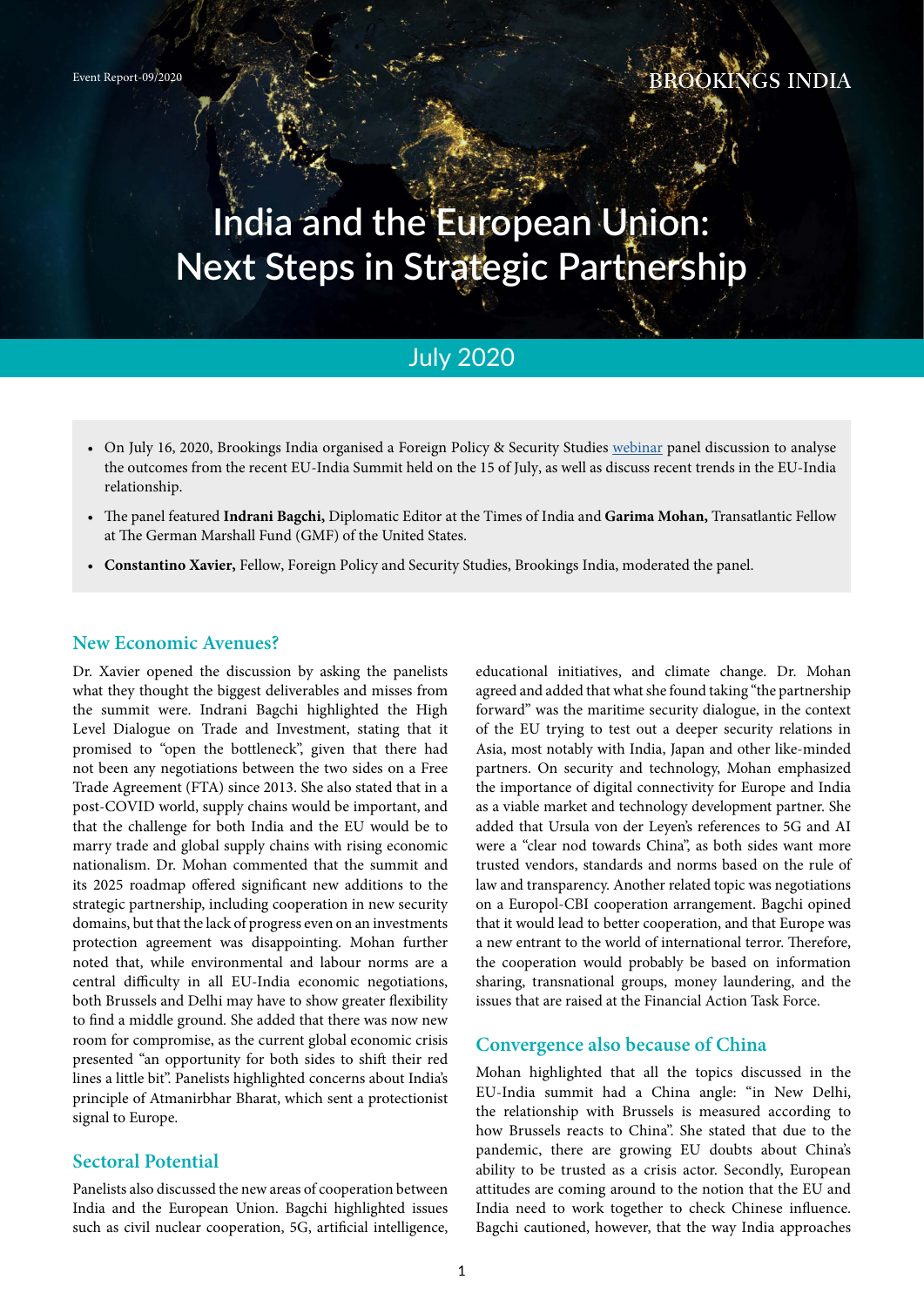# **India and the European Union: Next Steps in Strategic Partnership**

## July 2020

- On July 16, 2020, Brookings India organised a Foreign Policy & Security Studies [webinar](https://www.youtube.com/watch?v=dQ7aVqMf1Dk) panel discussion to analyse the outcomes from the recent EU-India Summit held on the 15 of July, as well as discuss recent trends in the EU-India relationship.
- The panel featured **Indrani Bagchi,** Diplomatic Editor at the Times of India and **Garima Mohan,** Transatlantic Fellow at The German Marshall Fund (GMF) of the United States.
- **Constantino Xavier,** Fellow, Foreign Policy and Security Studies, Brookings India, moderated the panel.

#### **New Economic Avenues?**

Dr. Xavier opened the discussion by asking the panelists what they thought the biggest deliverables and misses from the summit were. Indrani Bagchi highlighted the High Level Dialogue on Trade and Investment, stating that it promised to "open the bottleneck", given that there had not been any negotiations between the two sides on a Free Trade Agreement (FTA) since 2013. She also stated that in a post-COVID world, supply chains would be important, and that the challenge for both India and the EU would be to marry trade and global supply chains with rising economic nationalism. Dr. Mohan commented that the summit and its 2025 roadmap offered significant new additions to the strategic partnership, including cooperation in new security domains, but that the lack of progress even on an investments protection agreement was disappointing. Mohan further noted that, while environmental and labour norms are a central difficulty in all EU-India economic negotiations, both Brussels and Delhi may have to show greater flexibility to find a middle ground. She added that there was now new room for compromise, as the current global economic crisis presented "an opportunity for both sides to shift their red lines a little bit". Panelists highlighted concerns about India's principle of Atmanirbhar Bharat, which sent a protectionist signal to Europe.

### **Sectoral Potential**

Panelists also discussed the new areas of cooperation between India and the European Union. Bagchi highlighted issues such as civil nuclear cooperation, 5G, artificial intelligence,

educational initiatives, and climate change. Dr. Mohan agreed and added that what she found taking "the partnership forward" was the maritime security dialogue, in the context of the EU trying to test out a deeper security relations in Asia, most notably with India, Japan and other like-minded partners. On security and technology, Mohan emphasized the importance of digital connectivity for Europe and India as a viable market and technology development partner. She added that Ursula von der Leyen's references to 5G and AI were a "clear nod towards China", as both sides want more trusted vendors, standards and norms based on the rule of law and transparency. Another related topic was negotiations on a Europol-CBI cooperation arrangement. Bagchi opined that it would lead to better cooperation, and that Europe was a new entrant to the world of international terror. Therefore, the cooperation would probably be based on information sharing, transnational groups, money laundering, and the issues that are raised at the Financial Action Task Force.

#### **Convergence also because of China**

Mohan highlighted that all the topics discussed in the EU-India summit had a China angle: "in New Delhi, the relationship with Brussels is measured according to how Brussels reacts to China". She stated that due to the pandemic, there are growing EU doubts about China's ability to be trusted as a crisis actor. Secondly, European attitudes are coming around to the notion that the EU and India need to work together to check Chinese influence. Bagchi cautioned, however, that the way India approaches